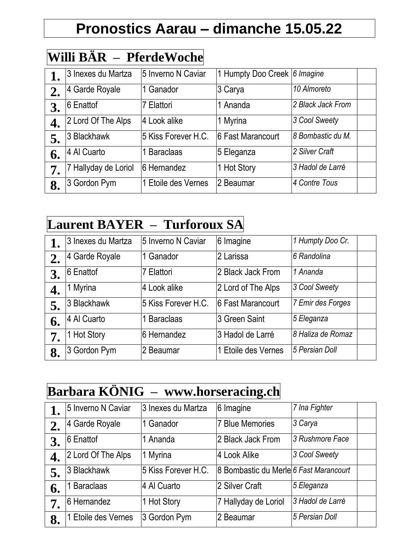# **Pronostics Aarau – dimanche 15.05.22**

#### **Willi BÄR – PferdeWoche**

|    | 3 Inexes du Martza   | 5 Inverno N Caviar  | 1 Humpty Doo Creek 6 Imagine |                   |  |
|----|----------------------|---------------------|------------------------------|-------------------|--|
| 2. | 4 Garde Royale       | 1 Ganador           | 3 Carya                      | 10 Almoreto       |  |
| 3. | 6 Enattof            | 7 Elattori          | 1 Ananda                     | 2 Black Jack From |  |
| 4. | 2 Lord Of The Alps   | 4 Look alike        | 1 Myrina                     | 3 Cool Sweety     |  |
| 5. | 3 Blackhawk          | 5 Kiss Forever H.C. | 6 Fast Marancourt            | 8 Bombastic du M. |  |
| 6. | 4 Al Cuarto          | 1 Baraclaas         | 5 Eleganza                   | 2 Silver Craft    |  |
| 7. | 7 Hallyday de Loriol | 6 Hernandez         | 1 Hot Story                  | 3 Hadol de Larré  |  |
| 8. | 3 Gordon Pym         | 1 Etoile des Vernes | 2 Beaumar                    | 4 Contre Tous     |  |

#### **Laurent BAYER – Turforoux SA**

|    | 3 Inexes du Martza | 5 Inverno N Caviar  | 6 Imagine          | 1 Humpty Doo Cr.  |  |
|----|--------------------|---------------------|--------------------|-------------------|--|
|    | 4 Garde Royale     | 1 Ganador           | 2 Larissa          | 6 Randolina       |  |
| 3. | 6 Enattof          | 7 Elattori          | 2 Black Jack From  | 1 Ananda          |  |
|    | 1 Myrina           | 4 Look alike        | 2 Lord of The Alps | 3 Cool Sweety     |  |
| 5. | 3 Blackhawk        | 5 Kiss Forever H.C. | 6 Fast Marancourt  | 7 Emir des Forges |  |
| 6. | 4 Al Cuarto        | 1 Baraclaas         | 3 Green Saint      | 5 Eleganza        |  |
| 7. | 1 Hot Story        | 6 Hernandez         | 3 Hadol de Larré   | 8 Haliza de Romaz |  |
| 8. | 3 Gordon Pym       | 2 Beaumar           | Etoile des Vernes  | 5 Persian Doll    |  |

## **Barbara KÖNIG – www.horseracing.ch**

|    | 5 Inverno N Caviar  | 3 Inexes du Martza  | 6 Imagine                              | 7 Ina Fighter    |
|----|---------------------|---------------------|----------------------------------------|------------------|
|    | 4 Garde Royale      | 1 Ganador           | 7 Blue Memories                        | 3 Carya          |
| 3. | 6 Enattof           | 1 Ananda            | 2 Black Jack From                      | 3 Rushmore Face  |
| 4. | 2 Lord Of The Alps  | 1 Myrina            | 4 Look Alike                           | 3 Cool Sweety    |
| 5. | 3 Blackhawk         | 5 Kiss Forever H.C. | 8 Bombastic du Merle 6 Fast Marancourt |                  |
| 6. | <b>Baraclaas</b>    | 4 Al Cuarto         | 2 Silver Craft                         | 5 Eleganza       |
| 7. | 6 Hernandez         | 1 Hot Story         | 7 Hallyday de Loriol                   | 3 Hadol de Larré |
| 8. | 1 Etoile des Vernes | 3 Gordon Pym        | 2 Beaumar                              | 5 Persian Doll   |